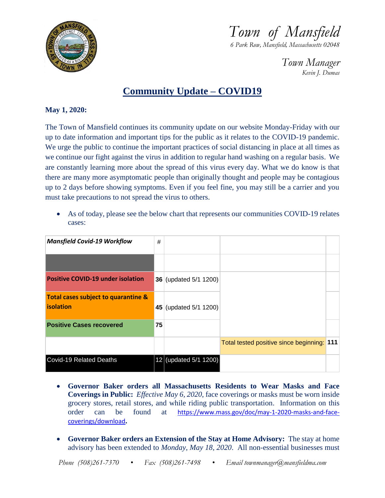

*Town of Mansfield*

*6 Park Row, Mansfield, Massachusetts 02048*

*Town Manager Kevin J. Dumas*

## **Community Update – COVID19**

## **May 1, 2020:**

The Town of Mansfield continues its community update on our website Monday-Friday with our up to date information and important tips for the public as it relates to the COVID-19 pandemic. We urge the public to continue the important practices of social distancing in place at all times as we continue our fight against the virus in addition to regular hand washing on a regular basis. We are constantly learning more about the spread of this virus every day. What we do know is that there are many more asymptomatic people than originally thought and people may be contagious up to 2 days before showing symptoms. Even if you feel fine, you may still be a carrier and you must take precautions to not spread the virus to others.

 As of today, please see the below chart that represents our communities COVID-19 relates cases:

| <b>Mansfield Covid-19 Workflow</b>                      | #  |                       |                                            |  |
|---------------------------------------------------------|----|-----------------------|--------------------------------------------|--|
|                                                         |    |                       |                                            |  |
| <b>Positive COVID-19 under isolation</b>                |    | 36 (updated 5/1 1200) |                                            |  |
| Total cases subject to quarantine &<br><b>isolation</b> |    | 45 (updated 5/1 1200) |                                            |  |
| <b>Positive Cases recovered</b>                         | 75 |                       |                                            |  |
|                                                         |    |                       | Total tested positive since beginning: 111 |  |
| Covid-19 Related Deaths                                 |    | 12 (updated 5/1 1200) |                                            |  |

- **Governor Baker orders all Massachusetts Residents to Wear Masks and Face Coverings in Public:** *Effective May 6, 2020*, face coverings or masks must be worn inside grocery stores, retail stores, and while riding public transportation. Information on this order can be found at [https://www.mass.gov/doc/may-1-2020-masks-and-face](https://www.mass.gov/doc/may-1-2020-masks-and-face-coverings/download)[coverings/download](https://www.mass.gov/doc/may-1-2020-masks-and-face-coverings/download)**.**
- **Governor Baker orders an Extension of the Stay at Home Advisory:** The stay at home advisory has been extended to *Monday, May 18, 2020*. All non-essential businesses must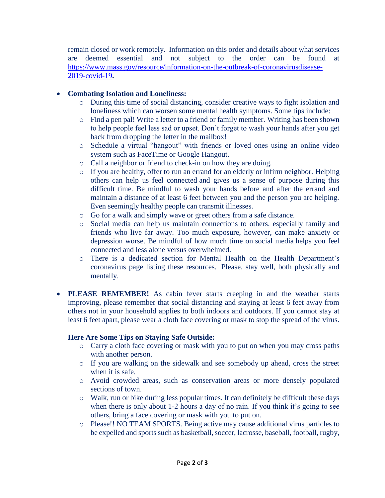remain closed or work remotely. Information on this order and details about what services are deemed essential and not subject to the order can be found at [https://www.mass.gov/resource/information-on-the-outbreak-of-coronavirusdisease-](https://www.mass.gov/resource/information-on-the-outbreak-of-coronavirusdisease-2019-covid-19)[2019-covid-19](https://www.mass.gov/resource/information-on-the-outbreak-of-coronavirusdisease-2019-covid-19)**.**

## **Combating Isolation and Loneliness:**

- o During this time of social distancing, consider creative ways to fight isolation and loneliness which can worsen some mental health symptoms. Some tips include:
- o Find a pen pal! Write a letter to a friend or family member. Writing has been shown to help people feel less sad or upset. Don't forget to wash your hands after you get back from dropping the letter in the mailbox!
- o Schedule a virtual "hangout" with friends or loved ones using an online video system such as FaceTime or Google Hangout.
- o Call a neighbor or friend to check-in on how they are doing.
- o If you are healthy, offer to run an errand for an elderly or infirm neighbor. Helping others can help us feel connected and gives us a sense of purpose during this difficult time. Be mindful to wash your hands before and after the errand and maintain a distance of at least 6 feet between you and the person you are helping. Even seemingly healthy people can transmit illnesses.
- o Go for a walk and simply wave or greet others from a safe distance.
- o Social media can help us maintain connections to others, especially family and friends who live far away. Too much exposure, however, can make anxiety or depression worse. Be mindful of how much time on social media helps you feel connected and less alone versus overwhelmed.
- o There is a dedicated section for Mental Health on the Health Department's coronavirus page listing these resources. Please, stay well, both physically and mentally.
- **PLEASE REMEMBER!** As cabin fever starts creeping in and the weather starts improving, please remember that social distancing and staying at least 6 feet away from others not in your household applies to both indoors and outdoors. If you cannot stay at least 6 feet apart, please wear a cloth face covering or mask to stop the spread of the virus.

## **Here Are Some Tips on Staying Safe Outside:**

- o Carry a cloth face covering or mask with you to put on when you may cross paths with another person.
- o If you are walking on the sidewalk and see somebody up ahead, cross the street when it is safe.
- o Avoid crowded areas, such as conservation areas or more densely populated sections of town.
- o Walk, run or bike during less popular times. It can definitely be difficult these days when there is only about 1-2 hours a day of no rain. If you think it's going to see others, bring a face covering or mask with you to put on.
- o Please!! NO TEAM SPORTS. Being active may cause additional virus particles to be expelled and sports such as basketball, soccer, lacrosse, baseball, football, rugby,